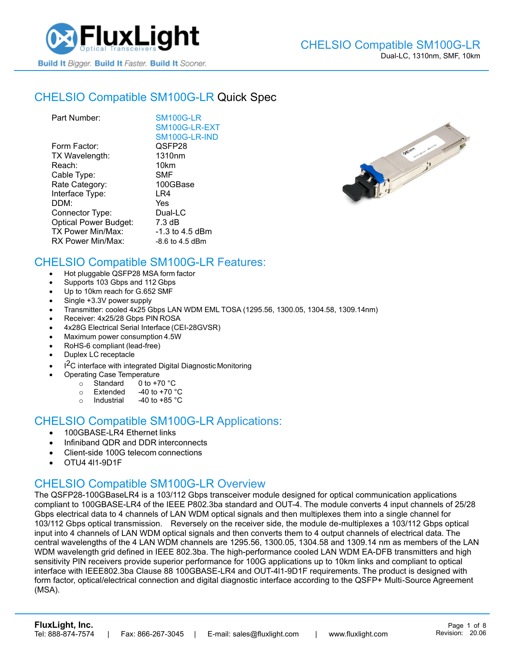

## CHELSIO [Compatible SM100G-LR](https://www.fluxlight.com/SM100G-LR/) Quick Spec

| Part Number:                 | <b>SM100G-LR</b>   |
|------------------------------|--------------------|
|                              | SM100G-LR-EXT      |
|                              | SM100G-LR-IND      |
| Form Factor:                 | QSFP28             |
| TX Wavelength:               | 1310 <sub>nm</sub> |
| Reach:                       | 10km               |
| Cable Type:                  | <b>SMF</b>         |
| Rate Category:               | 100GBase           |
| Interface Type:              | LR4                |
| DDM:                         | Yes                |
| Connector Type:              | Dual-LC            |
| <b>Optical Power Budget:</b> | 7.3 dB             |
| TX Power Min/Max:            | $-1.3$ to 4.5 dBm  |
| RX Power Min/Max:            | $-8.6$ to 4.5 dBm  |



### CHELSIO Compatible [SM100G-LR](https://www.fluxlight.com/SM100G-LR/) Features:

- Hot pluggable QSFP28 MSA form factor
- Supports 103 Gbps and 112 Gbps
- Up to 10km reach for G.652 SMF
- Single +3.3V power supply
- Transmitter: cooled 4x25 Gbps LAN WDM EML TOSA (1295.56, 1300.05, 1304.58, 1309.14nm)
- Receiver: 4x25/28 Gbps PIN ROSA
- 4x28G Electrical Serial Interface (CEI-28GVSR)
- Maximum power consumption 4.5W
- RoHS-6 compliant (lead-free)
- Duplex LC receptacle
- I<sup>2</sup>C interface with integrated Digital Diagnostic Monitoring
	- Operating Case Temperature
		- $\circ$  Standard 0 to +70 °C
		- $\circ$  Extended -40 to +70  $\degree$ C
		- o Industrial  $-40$  to  $+85$  °C

#### CHELSIO Compatible [SM100G-LR](https://www.fluxlight.com/SM100G-LR/) Applications:

- 100GBASE-LR4 Ethernet links
- Infiniband QDR and DDR interconnects
- Client-side 100G telecom connections
- OTU4 4l1-9D1F

### CHELSIO Compatible [SM100G-LR](https://www.fluxlight.com/SM100G-LR/) Overview

The QSFP28-100GBaseLR4 is a 103/112 Gbps transceiver module designed for optical communication applications compliant to 100GBASE-LR4 of the IEEE P802.3ba standard and OUT-4. The module converts 4 input channels of 25/28 Gbps electrical data to 4 channels of LAN WDM optical signals and then multiplexes them into a single channel for 103/112 Gbps optical transmission. Reversely on the receiver side, the module de-multiplexes a 103/112 Gbps optical input into 4 channels of LAN WDM optical signals and then converts them to 4 output channels of electrical data. The central wavelengths of the 4 LAN WDM channels are 1295.56, 1300.05, 1304.58 and 1309.14 nm as members of the LAN WDM wavelength grid defined in IEEE 802.3ba. The high-performance cooled LAN WDM EA-DFB transmitters and high sensitivity PIN receivers provide superior performance for 100G applications up to 10km links and compliant to optical interface with IEEE802.3ba Clause 88 100GBASE-LR4 and OUT-4l1-9D1F requirements. The product is designed with form factor, optical/electrical connection and digital diagnostic interface according to the QSFP+ Multi-Source Agreement (MSA).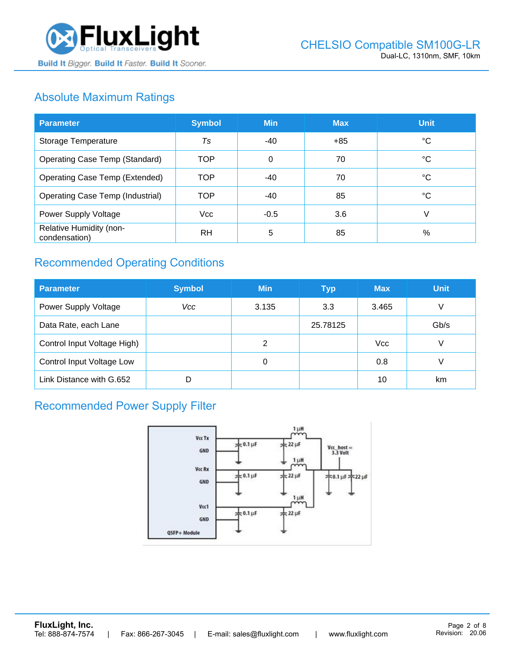

# Absolute Maximum Ratings

| <b>Parameter</b>                         | <b>Symbol</b> | <b>Min</b> | <b>Max</b> | <b>Unit</b> |
|------------------------------------------|---------------|------------|------------|-------------|
| Storage Temperature                      | Ts            | -40        | $+85$      | ℃           |
| <b>Operating Case Temp (Standard)</b>    | <b>TOP</b>    | $\Omega$   | 70         | °C          |
| <b>Operating Case Temp (Extended)</b>    | <b>TOP</b>    | $-40$      | 70         | °C          |
| <b>Operating Case Temp (Industrial)</b>  | <b>TOP</b>    | -40        | 85         | °C          |
| Power Supply Voltage                     | <b>Vcc</b>    | $-0.5$     | 3.6        | V           |
| Relative Humidity (non-<br>condensation) | <b>RH</b>     | 5          | 85         | %           |

# Recommended Operating Conditions

| <b>Parameter</b>            | <b>Symbol</b> | <b>Min</b> | <b>Typ</b> | <b>Max</b> | <b>Unit</b> |
|-----------------------------|---------------|------------|------------|------------|-------------|
| Power Supply Voltage        | Vcc           | 3.135      | 3.3        | 3.465      | V           |
| Data Rate, each Lane        |               |            | 25.78125   |            | Gb/s        |
| Control Input Voltage High) |               | 2          |            | <b>Vcc</b> | V           |
| Control Input Voltage Low   |               | 0          |            | 0.8        |             |
| Link Distance with G.652    |               |            |            | 10         | km          |

# Recommended Power Supply Filter

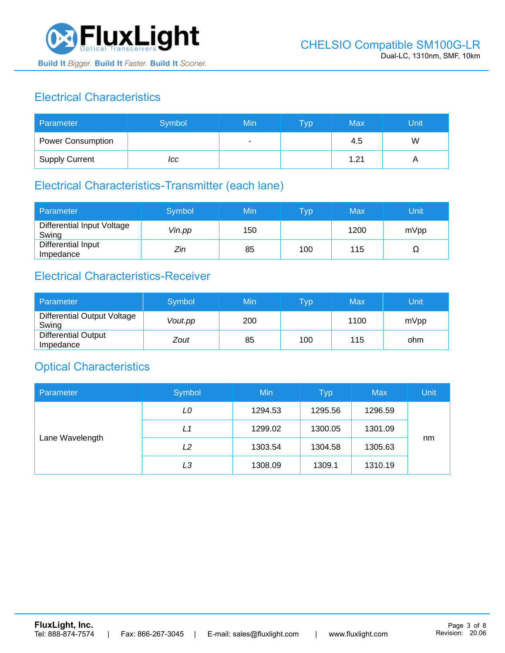

# Electrical Characteristics

| Parameter                | Symbol | Min | <b>Typ</b> | Max  | Unit |
|--------------------------|--------|-----|------------|------|------|
| <b>Power Consumption</b> |        | ۰   |            | 4.5  | W    |
| <b>Supply Current</b>    | ICC    |     |            | 1.21 |      |

## Electrical Characteristics-Transmitter (each lane)

| Parameter                           | Symbol | Min | $\overline{\mathsf{T}}\mathsf{yp}$ | Max  | Unit |
|-------------------------------------|--------|-----|------------------------------------|------|------|
| Differential Input Voltage<br>Swing | Vin.pp | 150 |                                    | 1200 | mVpp |
| Differential Input<br>Impedance     | Zin    | 85  | 100                                | 115  | 77   |

## Electrical Characteristics-Receiver

| Parameter                               | Symbol  | Min | Typ | Max  | Unit |
|-----------------------------------------|---------|-----|-----|------|------|
| Differential Output Voltage<br>Swing    | Vout.pp | 200 |     | 1100 | mVpp |
| <b>Differential Output</b><br>Impedance | Zout    | 85  | 100 | 115  | ohm  |

### Optical Characteristics

| Parameter       | Symbol | Min     | <b>Typ</b> | <b>Max</b> | Unit |
|-----------------|--------|---------|------------|------------|------|
| Lane Wavelength | LO     | 1294.53 | 1295.56    | 1296.59    |      |
|                 | L1     | 1299.02 | 1300.05    | 1301.09    |      |
|                 | L2     | 1303.54 | 1304.58    | 1305.63    | nm   |
|                 | LЗ     | 1308.09 | 1309.1     | 1310.19    |      |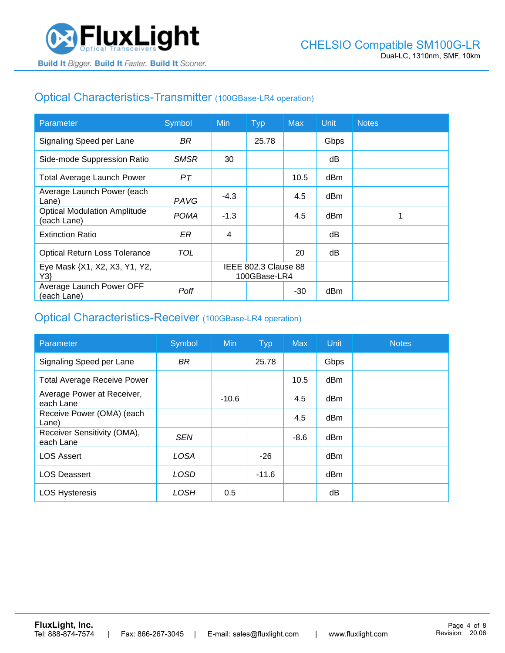## Optical Characteristics-Transmitter (100GBase-LR4 operation)

| Parameter                                          | Symbol      | <b>Min</b>                           | <b>Typ</b> | <b>Max</b> | <b>Unit</b> | <b>Notes</b> |
|----------------------------------------------------|-------------|--------------------------------------|------------|------------|-------------|--------------|
| Signaling Speed per Lane                           | BR.         |                                      | 25.78      |            | Gbps        |              |
| Side-mode Suppression Ratio                        | <b>SMSR</b> | 30                                   |            |            | dB          |              |
| <b>Total Average Launch Power</b>                  | PT          |                                      |            | 10.5       | dBm         |              |
| Average Launch Power (each<br>Lane)                | PAVG        | $-4.3$                               |            | 4.5        | dBm         |              |
| <b>Optical Modulation Amplitude</b><br>(each Lane) | <b>POMA</b> | $-1.3$                               |            | 4.5        | dBm         |              |
| <b>Extinction Ratio</b>                            | ER          | 4                                    |            |            | dВ          |              |
| <b>Optical Return Loss Tolerance</b>               | TOL         |                                      |            | 20         | dB          |              |
| Eye Mask {X1, X2, X3, Y1, Y2,<br>Y3                |             | IEEE 802.3 Clause 88<br>100GBase-LR4 |            |            |             |              |
| Average Launch Power OFF<br>(each Lane)            | Poff        |                                      |            | $-30$      | dBm         |              |

#### Optical Characteristics-Receiver (100GBase-LR4 operation)

| Parameter                                | Symbol      | <b>Min</b> | <b>Typ</b> | <b>Max</b> | Unit            | <b>Notes</b> |
|------------------------------------------|-------------|------------|------------|------------|-----------------|--------------|
| Signaling Speed per Lane                 | <b>BR</b>   |            | 25.78      |            | Gbps            |              |
| <b>Total Average Receive Power</b>       |             |            |            | 10.5       | dBm             |              |
| Average Power at Receiver,<br>each Lane  |             | $-10.6$    |            | 4.5        | dBm             |              |
| Receive Power (OMA) (each<br>Lane)       |             |            |            | 4.5        | dBm             |              |
| Receiver Sensitivity (OMA),<br>each Lane | <b>SEN</b>  |            |            | $-8.6$     | dB <sub>m</sub> |              |
| <b>LOS Assert</b>                        | <b>LOSA</b> |            | $-26$      |            | dBm             |              |
| <b>LOS Deassert</b>                      | LOSD        |            | $-11.6$    |            | dBm             |              |
| <b>LOS Hysteresis</b>                    | LOSH        | 0.5        |            |            | dΒ              |              |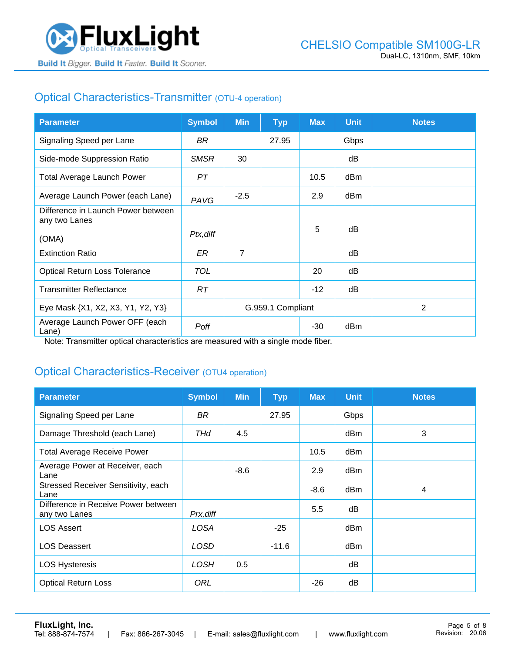

# Optical Characteristics-Transmitter (OTU-4 operation)

| <b>Parameter</b>                                    | <b>Symbol</b> | <b>Min</b>        | <b>Typ</b> | <b>Max</b> | <b>Unit</b> | <b>Notes</b>   |
|-----------------------------------------------------|---------------|-------------------|------------|------------|-------------|----------------|
| Signaling Speed per Lane                            | BR            |                   | 27.95      |            | Gbps        |                |
| Side-mode Suppression Ratio                         | <b>SMSR</b>   | 30                |            |            | dB          |                |
| <b>Total Average Launch Power</b>                   | PТ            |                   |            | 10.5       | dBm         |                |
| Average Launch Power (each Lane)                    | PAVG          | $-2.5$            |            | 2.9        | dBm         |                |
| Difference in Launch Power between<br>any two Lanes |               |                   |            |            |             |                |
| (OMA)                                               | Ptx, diff     |                   |            | 5          | dB          |                |
| <b>Extinction Ratio</b>                             | ER            | $\overline{7}$    |            |            | dB          |                |
| <b>Optical Return Loss Tolerance</b>                | <b>TOL</b>    |                   |            | 20         | dB          |                |
| <b>Transmitter Reflectance</b>                      | RT            |                   |            | $-12$      | dB          |                |
| Eye Mask {X1, X2, X3, Y1, Y2, Y3}                   |               | G.959.1 Compliant |            |            |             | $\overline{2}$ |
| Average Launch Power OFF (each<br>Lane)             | Poff          |                   |            | -30        | dBm         |                |

Note: Transmitter optical characteristics are measured with a single mode fiber.

### Optical Characteristics-Receiver (OTU4 operation)

| <b>Parameter</b>                                     | <b>Symbol</b> | <b>Min</b> | <b>Typ</b> | <b>Max</b> | <b>Unit</b> | <b>Notes</b> |
|------------------------------------------------------|---------------|------------|------------|------------|-------------|--------------|
| Signaling Speed per Lane                             | BR            |            | 27.95      |            | Gbps        |              |
| Damage Threshold (each Lane)                         | THd           | 4.5        |            |            | dBm         | 3            |
| <b>Total Average Receive Power</b>                   |               |            |            | 10.5       | dBm         |              |
| Average Power at Receiver, each<br>Lane              |               | $-8.6$     |            | 2.9        | dBm         |              |
| Stressed Receiver Sensitivity, each<br>Lane          |               |            |            | $-8.6$     | dBm         | 4            |
| Difference in Receive Power between<br>any two Lanes | Prx, diff     |            |            | 5.5        | dB          |              |
| <b>LOS Assert</b>                                    | LOSA          |            | $-25$      |            | dBm         |              |
| <b>LOS Deassert</b>                                  | <b>LOSD</b>   |            | $-11.6$    |            | dBm         |              |
| <b>LOS Hysteresis</b>                                | LOSH          | 0.5        |            |            | dB          |              |
| <b>Optical Return Loss</b>                           | ORL           |            |            | $-26$      | dB          |              |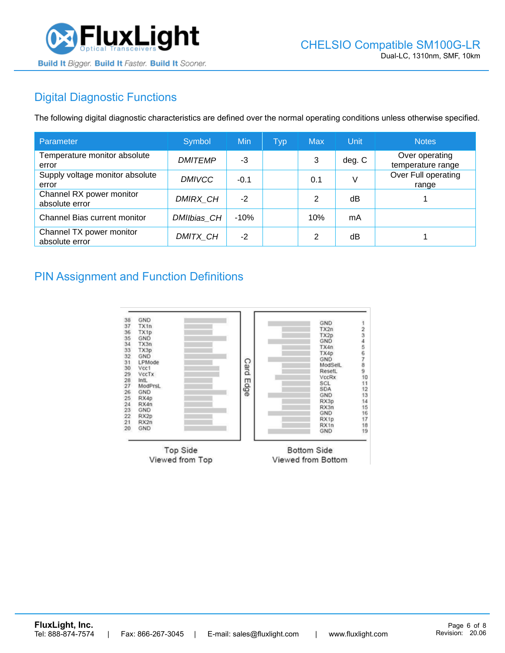

# Digital Diagnostic Functions

The following digital diagnostic characteristics are defined over the normal operating conditions unless otherwise specified.

| Parameter                                  | Symbol          | Min    | Typ | <b>Max</b> | Unit   | <b>Notes</b>                        |
|--------------------------------------------|-----------------|--------|-----|------------|--------|-------------------------------------|
| Temperature monitor absolute<br>error      | <b>DMITEMP</b>  | -3     |     | 3          | deg. C | Over operating<br>temperature range |
| Supply voltage monitor absolute<br>error   | <b>DMIVCC</b>   | $-0.1$ |     | 0.1        |        | Over Full operating<br>range        |
| Channel RX power monitor<br>absolute error | <b>DMIRX CH</b> | $-2$   |     | 2          | dB     |                                     |
| Channel Bias current monitor               | DMIIbias CH     | $-10%$ |     | 10%        | mA     |                                     |
| Channel TX power monitor<br>absolute error | DMITX CH        | $-2$   |     | 2          | dB     |                                     |

#### PIN Assignment and Function Definitions

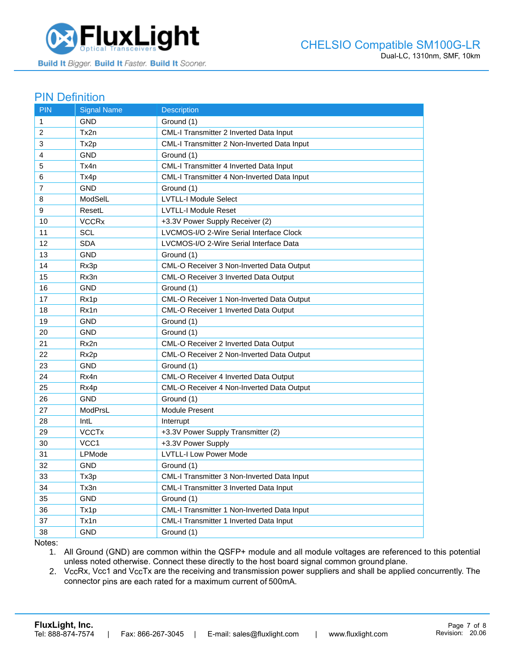

#### PIN Definition

| <b>PIN</b>     | <b>Signal Name</b> | <b>Description</b>                          |
|----------------|--------------------|---------------------------------------------|
| $\mathbf{1}$   | <b>GND</b>         | Ground (1)                                  |
| 2              | Tx2n               | CML-I Transmitter 2 Inverted Data Input     |
| 3              | Tx2p               | CML-I Transmitter 2 Non-Inverted Data Input |
| 4              | <b>GND</b>         | Ground (1)                                  |
| 5              | Tx4n               | CML-I Transmitter 4 Inverted Data Input     |
| 6              | Tx4p               | CML-I Transmitter 4 Non-Inverted Data Input |
| $\overline{7}$ | <b>GND</b>         | Ground (1)                                  |
| 8              | ModSelL            | <b>LVTLL-I Module Select</b>                |
| 9              | ResetL             | <b>LVTLL-I Module Reset</b>                 |
| 10             | <b>VCCRx</b>       | +3.3V Power Supply Receiver (2)             |
| 11             | <b>SCL</b>         | LVCMOS-I/O 2-Wire Serial Interface Clock    |
| 12             | <b>SDA</b>         | LVCMOS-I/O 2-Wire Serial Interface Data     |
| 13             | <b>GND</b>         | Ground (1)                                  |
| 14             | Rx3p               | CML-O Receiver 3 Non-Inverted Data Output   |
| 15             | Rx3n               | CML-O Receiver 3 Inverted Data Output       |
| 16             | <b>GND</b>         | Ground (1)                                  |
| 17             | Rx1p               | CML-O Receiver 1 Non-Inverted Data Output   |
| 18             | Rx1n               | CML-O Receiver 1 Inverted Data Output       |
| 19             | <b>GND</b>         | Ground (1)                                  |
| 20             | <b>GND</b>         | Ground (1)                                  |
| 21             | Rx2n               | CML-O Receiver 2 Inverted Data Output       |
| 22             | Rx <sub>2p</sub>   | CML-O Receiver 2 Non-Inverted Data Output   |
| 23             | GND                | Ground (1)                                  |
| 24             | Rx4n               | CML-O Receiver 4 Inverted Data Output       |
| 25             | Rx4p               | CML-O Receiver 4 Non-Inverted Data Output   |
| 26             | <b>GND</b>         | Ground (1)                                  |
| 27             | ModPrsL            | Module Present                              |
| 28             | IntL               | Interrupt                                   |
| 29             | <b>VCCTx</b>       | +3.3V Power Supply Transmitter (2)          |
| 30             | VCC1               | +3.3V Power Supply                          |
| 31             | LPMode             | <b>LVTLL-I Low Power Mode</b>               |
| 32             | <b>GND</b>         | Ground (1)                                  |
| 33             | Tx3p               | CML-I Transmitter 3 Non-Inverted Data Input |
| 34             | Tx3n               | CML-I Transmitter 3 Inverted Data Input     |
| 35             | <b>GND</b>         | Ground (1)                                  |
| 36             | Tx1p               | CML-I Transmitter 1 Non-Inverted Data Input |
| 37             | Tx1n               | CML-I Transmitter 1 Inverted Data Input     |
| 38             | <b>GND</b>         | Ground (1)                                  |

Notes:

1. All Ground (GND) are common within the QSFP+ module and all module voltages are referenced to this potential unless noted otherwise. Connect these directly to the host board signal common ground plane.

2. VccRx, Vcc1 and VccTx are the receiving and transmission power suppliers and shall be applied concurrently. The connector pins are each rated for a maximum current of 500mA.